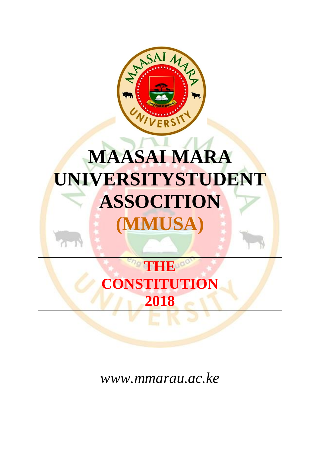

# **MAASAI MARA UNIVERSITYSTUDENT ASSOCITION (MMUSA)**

# **THE CONSTITUTION 2018**

*www.mmarau.ac.ke*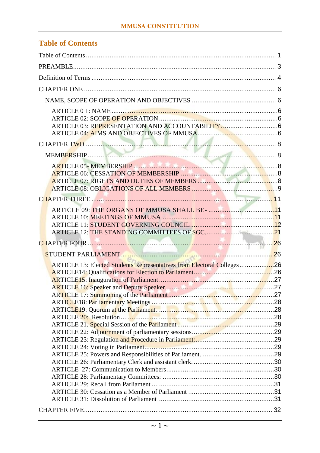# <span id="page-1-0"></span>**Table of Contents**

| ARTICLE 13: Elected Students Representatives from Electoral Colleges26 |  |
|------------------------------------------------------------------------|--|
|                                                                        |  |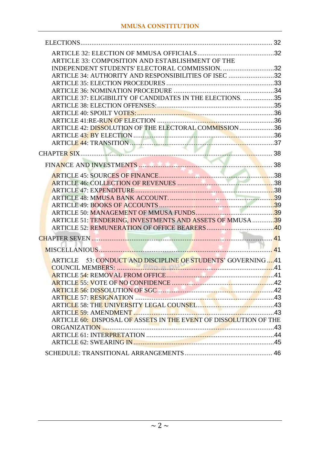| ARTICLE 33: COMPOSITION AND ESTABLISHMENT OF THE                  |  |
|-------------------------------------------------------------------|--|
| INDEPENDENT STUDENTS' ELECTORAL COMMISSION. 32                    |  |
| ARTICLE 34: AUTHORITY AND RESPONSIBILITIES OF ISEC 32             |  |
|                                                                   |  |
|                                                                   |  |
| ARTICLE 37: ELIGIBILITY OF CANDIDATES IN THE ELECTIONS. 35        |  |
|                                                                   |  |
|                                                                   |  |
|                                                                   |  |
| ARTICLE 42: DISSOLUTION OF THE ELECTORAL COMMISSION36             |  |
|                                                                   |  |
|                                                                   |  |
|                                                                   |  |
|                                                                   |  |
|                                                                   |  |
|                                                                   |  |
|                                                                   |  |
|                                                                   |  |
|                                                                   |  |
|                                                                   |  |
| ARTICLE 51: TENDERING, INVESTMENTS AND ASSETS OF MMUSA39          |  |
|                                                                   |  |
|                                                                   |  |
|                                                                   |  |
|                                                                   |  |
| ARTICLE 53: CONDUCT AND DISCIPLINE OF STUDENTS' GOVERNING 41      |  |
|                                                                   |  |
|                                                                   |  |
|                                                                   |  |
|                                                                   |  |
|                                                                   |  |
|                                                                   |  |
|                                                                   |  |
| ARTICLE 60: DISPOSAL OF ASSETS IN THE EVENT OF DISSOLUTION OF THE |  |
|                                                                   |  |
|                                                                   |  |
|                                                                   |  |
|                                                                   |  |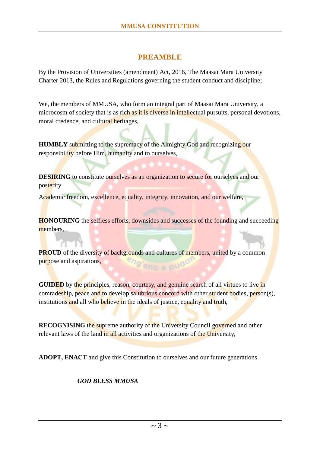# **PREAMBLE**

<span id="page-3-0"></span>By the Provision of Universities (amendment) Act, 2016, The Maasai Mara University Charter 2013, the Rules and Regulations governing the student conduct and discipline;

We, the members of MMUSA, who form an integral part of Maasai Mara University, a microcosm of society that is as rich as it is diverse in intellectual pursuits, personal devotions, moral credence, and cultural heritages,

**HUMBLY** submitting to the supremacy of the Almighty God and recognizing our responsibility before Him, humanity and to ourselves,

**DESIRING** to constitute ourselves as an organization to secure for ourselves and our posterity

Academic freedom, excellence, equality, integrity, innovation, and our welfare,

**HONOURING** the selfless efforts, downsides and successes of the founding and succeeding members.

**PROUD** of the diversity of backgrounds and cultures of members, united by a common purpose and aspirations,

**GUIDED** by the principles, reason, courtesy, and genuine search of all virtues to live in comradeship, peace and to develop salubrious concord with other student bodies, person(s), institutions and all who believe in the ideals of justice, equality and truth,

**RECOGNISING** the supreme authority of the University Council governed and other relevant laws of the land in all activities and organizations of the University,

**ADOPT, ENACT** and give this Constitution to ourselves and our future generations*.*

# *GOD BLESS MMUSA*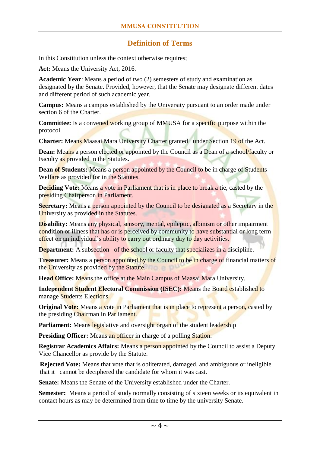# **Definition of Terms**

<span id="page-4-0"></span>In this Constitution unless the context otherwise requires;

**Act:** Means the University Act, 2016.

**Academic Year**: Means a period of two (2) semesters of study and examination as designated by the Senate. Provided, however, that the Senate may designate different dates and different period of such academic year.

**Campus:** Means a campus established by the University pursuant to an order made under section 6 of the Charter.

**Committee:** Is a convened working group of MMUSA for a specific purpose within the protocol.

**Charter:** Means Maasai Mara University Charter granted under Section 19 of the Act.

**Dean:** Means a person elected or appointed by the Council as a Dean of a school/faculty or Faculty as provided in the Statutes.

**Dean of Students:** Means a person appointed by the Council to be in charge of Students Welfare as provided for in the Statutes.

**Deciding Vote:** Means a vote in Parliament that is in place to break a tie, casted by the presiding Chairperson in Parliament.

**Secretary:** Means a person appointed by the Council to be designated as a Secretary in the University as provided in the Statutes.

**Disability:** Means any physical, sensory, mental, epileptic, albinism or other impairment condition or illness that has or is perceived by community to have substantial or long term effect on an individual's ability to carry out ordinary day to day activities.

**Department:** A subsection of the school or faculty that specializes in a discipline.

**Treasurer:** Means a person appointed by the Council to be in charge of financial matters of the University as provided by the Statute.

**Head Office:** Means the office at the Main Campus of Maasai Mara University.

**Independent Student Electoral Commission (ISEC):** Means the Board established to manage Students Elections.

**Original Vote:** Means a vote in Parliament that is in place to represent a person, casted by the presiding Chairman in Parliament.

**Parliament:** Means legislative and oversight organ of the student leadership

**Presiding Officer:** Means an officer in charge of a polling Station.

**Registrar Academics Affairs:** Means a person appointed by the Council to assist a Deputy Vice Chancellor as provide by the Statute.

**Rejected Vote:** Means that vote that is obliterated, damaged, and ambiguous or ineligible that it cannot be deciphered the candidate for whom it was cast.

**Senate:** Means the Senate of the University established under the Charter.

**Semester:** Means a period of study normally consisting of sixteen weeks or its equivalent in contact hours as may be determined from time to time by the university Senate.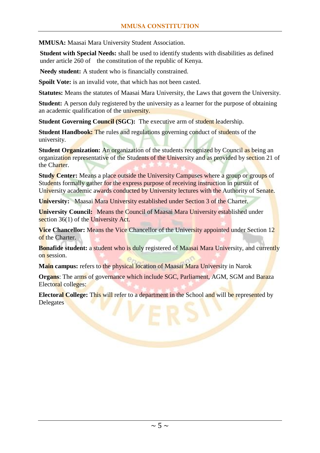**MMUSA:** Maasai Mara University Student Association.

**Student with Special Needs:** shall be used to identify students with disabilities as defined under article 260 of the constitution of the republic of Kenya*.*

**Needy student:** A student who is financially constrained.

**Spoilt Vote:** is an invalid vote, that which has not been casted.

**Statutes:** Means the statutes of Maasai Mara University, the Laws that govern the University.

**Student:** A person duly registered by the university as a learner for the purpose of obtaining an academic qualification of the university.

**Student Governing Council (SGC):** The executive arm of student leadership.

**Student Handbook:** The rules and regulations governing conduct of students of the university.

**Student Organization:** An organization of the students recognized by Council as being an organization representative of the Students of the University and as provided by section 21 of the Charter.

**Study Center:** Means a place outside the University Campuses where a group or groups of Students formally gather for the express purpose of receiving instruction in pursuit of University academic awards conducted by University lectures with the Authority of Senate.

**University:** Maasai Mara University established under Section 3 of the Charter.

**University Council:** Means the Council of Maasai Mara University established under section 36(1) of the University Act.

**Vice Chancellor:** Means the Vice Chancellor of the University appointed under Section 12 of the Charter.

**Bonafide student:** a student who is duly registered of Maasai Mara University, and currently on session.

**Main campus:** refers to the physical location of Maasai Mara University in Narok

**Organs**: The arms of governance which include SGC, Parliament, AGM, SGM and Baraza Electoral colleges:

**Electoral College:** This will refer to a department in the School and will be represented by Delegates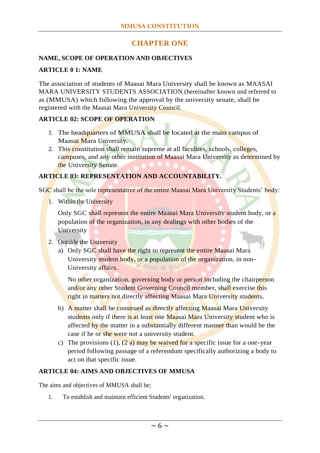# **CHAPTER ONE**

#### <span id="page-6-1"></span><span id="page-6-0"></span>**NAME, SCOPE OF OPERATION AND OBJECTIVES**

#### <span id="page-6-2"></span>**ARTICLE 0 1: NAME**

The association of students of Maasai Mara University shall be known as MAASAI MARA UNIVERSITY STUDENTS ASSOCIATION (hereinafter known and referred to as (MMUSA) which following the approval by the university senate, shall be registered with the Maasai Mara University Council.

#### <span id="page-6-3"></span>**ARTICLE 02: SCOPE OF OPERATION**

- 1. The headquarters of MMUSA shall be located at the main campus of Maasai Mara University.
- 2. This constitution shall remain supreme at all faculties, schools, colleges, campuses, and any other institution of Maasai Mara University as determined by the University Senate.

#### <span id="page-6-4"></span>**ARTICLE 03: REPRESENTATION AND ACCOUNTABILITY.**

SGC shall be the sole representative of the entire Maasai Mara University Students' body:

1. Within the University

Only SGC shall represent the entire Maasai Mara University student body, or a population of the organization, in any dealings with other bodies of the University

- 2. Outside the University
	- a) Only SGC shall have the right to represent the entire Maasai Mara University student body, or a population of the organization, in non-University affairs. enn a

No other organization, governing body or person including the chairperson and/or any other Student Governing Council member, shall exercise this right in matters not directly affecting Maasai Mara University students,

- b) A matter shall be construed as directly affecting Maasai Mara University students only if there is at least one Maasai Mara University student who is affected by the matter in a substantially different manner than would be the case if he or she were not a university student.
- c) The provisions  $(1)$ ,  $(2 a)$  may be waived for a specific issue for a one-year period following passage of a referendum specifically authorizing a body to act on that specific issue.

#### <span id="page-6-5"></span>**ARTICLE 04: AIMS AND OBJECTIVES OF MMUSA**

The aims and objectives of MMUSA shall be;

1. To establish and maintain efficient Students' organization.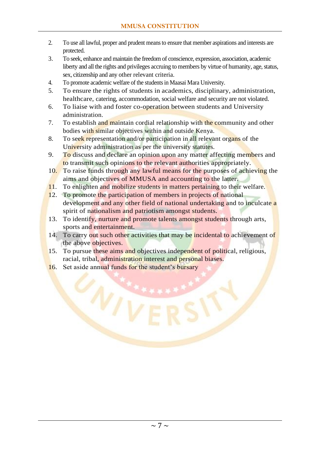- 2. To use all lawful, proper and prudent means to ensure that member aspirations and interests are protected.
- 3. To seek, enhance and maintain the freedom of conscience, expression, association, academic liberty and all the rights and privileges accruing to members by virtue of humanity, age, status, sex, citizenship and any other relevant criteria.
- 4. To promote academic welfare of the students in Maasai Mara University.
- 5. To ensure the rights of students in academics, disciplinary, administration, healthcare, catering, accommodation, social welfare and security are not violated.
- 6. To liaise with and foster co-operation between students and University administration.
- 7. To establish and maintain cordial relationship with the community and other bodies with similar objectives within and outside Kenya.
- 8. To seek representation and/or participation in all relevant organs of the University administration as per the university statutes.
- 9. To discuss and declare an opinion upon any matter affecting members and to transmit such opinions to the relevant authorities appropriately.
- 10. To raise funds through any lawful means for the purposes of achieving the aims and objectives of MMUSA and accounting to the latter.
- 11. To enlighten and mobilize students in matters pertaining to their welfare.
- 12. To promote the participation of members in projects of national development and any other field of national undertaking and to inculcate a spirit of nationalism and patriotism amongst students.
- 13. To identify, nurture and promote talents amongst students through arts, sports and entertainment.
- 14. To carry out such other activities that may be incidental to achievement of the above objectives.
- 15. To pursue these aims and objectives independent of political, religious, racial, tribal, administration interest and personal biases.
- 16. Set aside annual funds for the student's bursary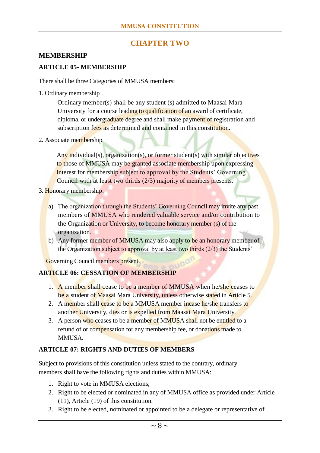# **CHAPTER TWO**

#### <span id="page-8-1"></span><span id="page-8-0"></span>**MEMBERSHIP**

#### <span id="page-8-2"></span>**ARTICLE 05- MEMBERSHIP**

There shall be three Categories of MMUSA members;

1. Ordinary membership

Ordinary member(s) shall be any student (s) admitted to Maasai Mara University for a course leading to qualification of an award of certificate, diploma, or undergraduate degree and shall make payment of registration and subscription fees as determined and contained in this constitution.

2. Associate membership

Any individual(s), organization(s), or former student(s) with similar objectives to those of MMUSA may be granted associate membership upon expressing interest for membership subject to approval by the Students' Governing Council with at least two thirds (2/3) majority of members presents.

- 3. Honorary membership:
	- a) The organization through the Students' Governing Council may invite any past members of MMUSA who rendered valuable service and/or contribution to the Organization or University, to become honorary member (s) of the organization.
	- b) Any former member of MMUSA may also apply to be an honorary member of the Organization subject to approval by at least two thirds  $(2/3)$  the Students'

Governing Council members present.

#### <span id="page-8-3"></span>**ARTICLE 06: CESSATION OF MEMBERSHIP**

- 1. A member shall cease to be a member of MMUSA when he/she ceases to be a student of Maasai Mara University, unless otherwise stated in Article 5.
- 2. A member shall cease to be a MMUSA member incase he/she transfers to another University, dies or is expelled from Maasai Mara University.
- 3. A person who ceases to be a member of MMUSA shall not be entitled to a refund of or compensation for any membership fee, or donations made to MMUSA.

#### <span id="page-8-4"></span>**ARTICLE 07: RIGHTS AND DUTIES OF MEMBERS**

Subject to provisions of this constitution unless stated to the contrary, ordinary members shall have the following rights and duties within MMUSA:

- 1. Right to vote in MMUSA elections;
- 2. Right to be elected or nominated in any of MMUSA office as provided under Article (11), Article (19) of this constitution.
- 3. Right to be elected, nominated or appointed to be a delegate or representative of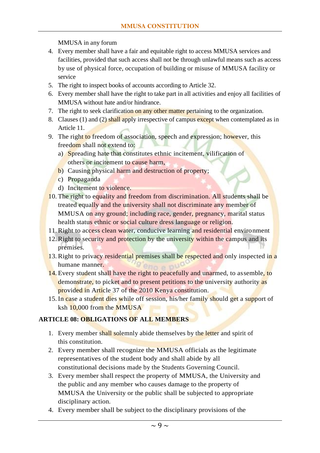MMUSA in any forum

- 4. Every member shall have a fair and equitable right to access MMUSA services and facilities, provided that such access shall not be through unlawful means such as access by use of physical force, occupation of building or misuse of MMUSA facility or service
- 5. The right to inspect books of accounts according to Article 32.
- 6. Every member shall have the right to take part in all activities and enjoy all facilities of MMUSA without hate and/or hindrance.
- 7. The right to seek clarification on any other matter pertaining to the organization.
- 8. Clauses (1) and (2) shall apply irrespective of campus except when contemplated as in Article 11.
- 9. The right to freedom of association, speech and expression; however, this freedom shall not extend to:
	- a) Spreading hate that constitutes ethnic incitement, vilification of others or incitement to cause harm,
	- b) Causing physical harm and destruction of property;
	- c) Propaganda
	- d) Incitement to violence.
- 10. The right to equality and freedom from discrimination. All students shall be treated equally and the university shall not discriminate any member of MMUSA on any ground; including race, gender, pregnancy, marital status health status ethnic or social culture dress language or religion.
- 11. Right to access clean water, conducive learning and residential environment
- 12. Right to security and protection by the university within the campus and its premises.
- 13. Right to privacy residential premises shall be respected and only inspected in a humane manner.
- 14. Every student shall have the right to peacefully and unarmed, to assemble, to demonstrate, to picket and to present petitions to the university authority as provided in Article 37 of the 2010 Kenya constitution.
- 15. In case a student dies while off session, his/her family should get a support of ksh 10,000 from the MMUSA

#### <span id="page-9-0"></span>**ARTICLE 08: OBLIGATIONS OF ALL MEMBERS**

- 1. Every member shall solemnly abide themselves by the letter and spirit of this constitution.
- 2. Every member shall recognize the MMUSA officials as the legitimate representatives of the student body and shall abide by all constitutional decisions made by the Students Governing Council.
- 3. Every member shall respect the property of MMUSA, the University and the public and any member who causes damage to the property of MMUSA the University or the public shall be subjected to appropriate disciplinary action.
- 4. Every member shall be subject to the disciplinary provisions of the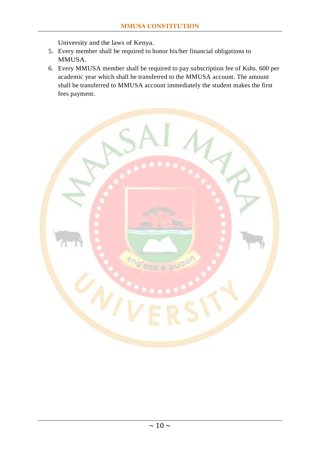University and the laws of Kenya.

- 5. Every member shall be required to honor his/her financial obligations to MMUSA.
- 6. Every MMUSA member shall be required to pay subscription fee of Kshs. 600 per academic year which shall be transferred to the MMUSA account. The amount shall be transferred to MMUSA account immediately the student makes the first fees payment.

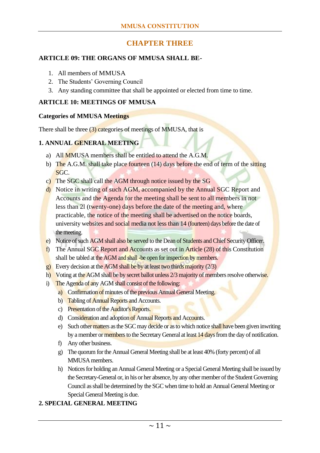# **CHAPTER THREE**

#### <span id="page-11-1"></span><span id="page-11-0"></span>**ARTICLE 09: THE ORGANS OF MMUSA SHALL BE-**

- 1. All members of MMUSA
- 2. The Students' Governing Council
- 3. Any standing committee that shall be appointed or elected from time to time.

#### <span id="page-11-2"></span>**ARTICLE 10: MEETINGS OF MMUSA**

#### **Categories of MMUSA Meetings**

There shall be three (3) categories of meetings of MMUSA, that is

#### **1. ANNUAL GENERAL MEETING**

- a) All MMUSA members shall be entitled to attend the A.G.M.
- b) The A.G.M. shall take place fourteen (14) days before the end of term of the sitting SGC.
- c) The SGC shall call the AGM through notice issued by the SG
- d) Notice in writing of such AGM, accompanied by the Annual SGC Report and Accounts and the Agenda for the meeting shall be sent to all members in not less than 2l (twenty-one) days before the date of the meeting and, where practicable, the notice of the meeting shall be advertised on the notice boards, university websites and social media not less than 14 (fourteen) days before the date of the meeting.
- e) Notice of such AGM shall also be served to the Dean of Students and Chief Security Officer.
- f) The Annual SGC Report and Accounts as set out in Article  $(28)$  of this Constitution shall be tabled at the AGM and shall -be open for inspection by members.
- g) Every decision at the AGM shall be by at least two thirds majority (2/3)
- h) Voting at the AGM shall be by secret ballot unless 2/3 majority of members resolve otherwise.
- i) The Agenda of any AGM shall consist of the following:
	- a) Confirmation of minutes of the previous Annual General Meeting.
	- b) Tabling of Annual Reports and Accounts.
	- c) Presentation of the Auditor's Reports.
	- d) Consideration and adoption of Annual Reports and Accounts.
	- e) Such other matters as the SGC may decide or as to which notice shall have been given inwriting by a member or members to the Secretary General at least 14 days from the day of notification.
	- f) Any other business.
	- g) The quorum for the Annual General Meeting shall be at least 40% (forty percent) of all MMUSA members.
	- h) Notices for holding an Annual General Meeting or a Special General Meeting shall be issued by the Secretary-General or, in his or her absence, by any other member of the Student Governing Council as shall be determined by the SGC when time to hold an Annual General Meeting or Special General Meeting is due.

#### **2. SPECIAL GENERAL MEETING**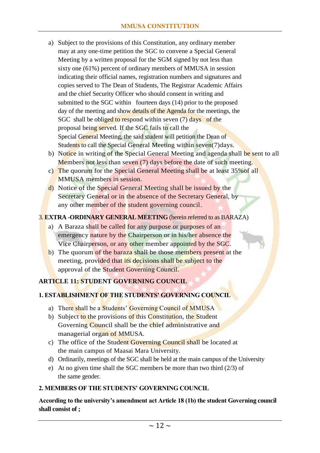- a) Subject to the provisions of this Constitution, any ordinary member may at any one-time petition the SGC to convene a Special General Meeting by a written proposal for the SGM signed by not less than sixty one (61%) percent of ordinary members of MMUSA in session indicating their official names, registration numbers and signatures and copies served to The Dean of Students, The Registrar Academic Affairs and the chief Security Officer who should consent in writing and submitted to the SGC within fourteen days (14) prior to the proposed day of the meeting and show details of the Agenda for the meetings, the SGC shall be obliged to respond within seven (7) days of the proposal being served. If the SGC fails to call the Special General Meeting, the said student will petition the Dean of Students to call the Special General Meeting within seven(7)days.
- b) Notice in writing of the Special General Meeting and agenda shall be sent to all Members not less than seven (7) days before the date of such meeting.
- c) The quorum for the Special General Meeting shall be at least 35%of all MMUSA members in session.
- d) Notice of the Special General Meeting shall be issued by the Secretary General or in the absence of the Secretary General, by any other member of the student governing council.

3. **EXTRA -ORDINARY GENERAL MEETING** (herein referred to as BARAZA)

- a) A Baraza shall be called for any purpose or purposes of an emergency nature by the Chairperson or in his/her absence the Vice Chairperson, or any other member appointed by the SGC.
- b) The quorum of the baraza shall be those members present at the meeting, provided that its decisions shall be subject to the approval of the Student Governing Council.

# <span id="page-12-0"></span>**ARTICLE 11: STUDENT GOVERNING COUNCIL**

#### **1. ESTABLISHMENT OF THE STUDENTS' GOVERNING COUNCIL**

- a) There shall be a Students' Governing Council of MMUSA
- b) Subject to the provisions of this Constitution, the Student Governing Council shall be the chief administrative and managerial organ of MMUSA.
- c) The office of the Student Governing Council shall be located at the main campus of Maasai Mara University.
- d) Ordinarily, meetings of the SGC shall be held at the main campus of the University
- e) At no given time shall the SGC members be more than two third (2/3) of the same gender.

#### **2. MEMBERS OF THE STUDENTS' GOVERNING COUNCIL**

**According to the university's amendment act Article 18 (1b) the student Governing council shall consist of ;**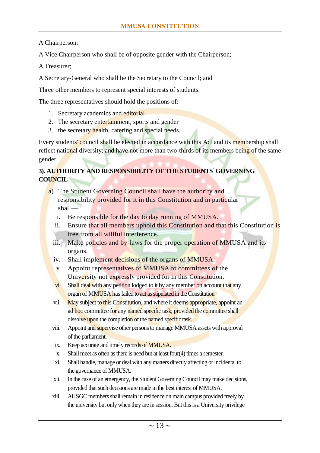A Chairperson;

A Vice Chairperson who shall be of opposite gender with the Chairperson;

A Treasurer;

A Secretary-General who shall be the Secretary to the Council; and

Three other members to represent special interests of students.

The three representatives should hold the positions of:

- 1. Secretary academics and editorial
- 2. The secretary entertainment, sports and gender
- 3. the secretary health, catering and special needs.

Every students' council shall be elected in accordance with this Act and its membership shall reflect national diversity; and have not more than two-thirds of its members being of the same gender.

### **3). AUTHORITY AND RESPONSIBILITY OF THE STUDENTS' GOVERNING COUNCIL**

- a) The Student Governing Council shall have the authority and responsibility provided for it in this Constitution and in particular shall
	- i. Be responsible for the day to day running of MMUSA.
	- ii. Ensure that all members uphold this Constitution and that this Constitution is free from all willful interference.
	- iii. Make policies and by-laws for the proper operation of MMUSA and its organs.
	- iv. Shall implement decisions of the organs of MMUSA.
	- v. Appoint representatives of MMUSA to committees of the University not expressly provided for in this Constitution.
	- vi. Shall deal with any petition lodged to it by any member on account that any organ of MMUSA has failed to act as stipulated in the Constitution.
	- vii. May subject to this Constitution, and where it deems appropriate, appoint an ad hoc committee for any named specific task; provided the committee shall dissolve upon the completion of the named specific task.
	- viii. Appoint and supervise other persons to manage MMUSA assets with approval of the parliament.
	- ix. Keep accurate and timely records of MMUSA.
	- x. Shall meet as often as there is need but at least four(4) times a semester.
	- xi. Shall handle, manage or deal with any matters directly affecting or incidental to the governance of MMUSA.
	- xii. In the case of an emergency, the Student Governing Council may make decisions, provided that such decisions are made in the best interest of MMUSA.
	- xiii. All SGC members shall remain in residence on main campus provided freely by the university but only when they are in session. But this is a University privilege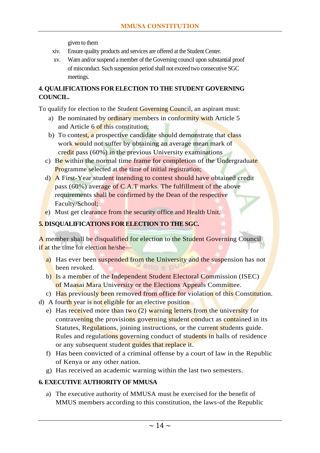given to them

- xiv. Ensure quality products and services are offered at the Student Center.
- xv. Warn and/or suspend a member of the Governing council upon substantial proof of misconduct. Such suspension period shall not exceed two consecutive SGC meetings.

#### **4. QUALIFICATIONS FOR ELECTION TO THE STUDENT GOVERNING COUNCIL.**

To qualify for election to the Student Governing Council, an aspirant must:

- a) Be nominated by ordinary members in conformity with Article 5 and Article 6 of this constitution;
- b) To contest, a prospective candidate should demonstrate that class work would not suffer by obtaining an average mean mark of credit pass (60%) in the previous University examinations
- c) Be within the normal time frame for completion of the Undergraduate Programme selected at the time of initial registration;
- d) A First-Year student intending to contest should have obtained credit pass (60%) average of C.A.T marks. The fulfillment of the above requirements shall be confirmed by the Dean of the respective Faculty/School;
- e) Must get clearance from the security office and Health Unit.

# **5. DISQUALIFICATIONS FOR ELECTION TO THE SGC.**

A member shall be disqualified for election to the Student Governing Council if at the time for election he/she—

- a) Has ever been suspended from the University and the suspension has not been revoked.
- b) Is a member of the Independent Student Electoral Commission (ISEC) of Maasai Mara University or the Elections Appeals Committee.
- c) Has previously been removed from office for violation of this Constitution.
- d) A fourth year is not eligible for an elective position
	- e) Has received more than two  $(2)$  warning letters from the university for contravening the provisions governing student conduct as contained in its Statutes, Regulations, joining instructions, or the current students guide. Rules and regulations governing conduct of students in halls of residence or any subsequent student guides that replace it.
	- f) Has been convicted of a criminal offense by a court of law in the Republic of Kenya or any other nation.
	- g) Has received an academic warning within the last two semesters.

#### **6. EXECUTIVE AUTHORITY OF MMUSA**

a) The executive authority of MMUSA must be exercised for the benefit of MMUS members according to this constitution, the laws-of the Republic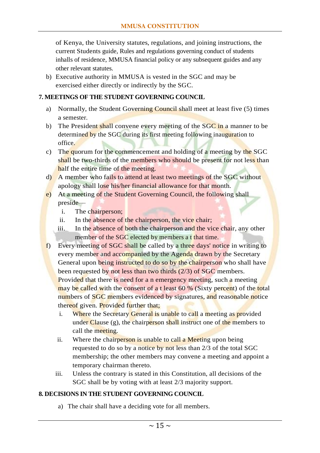of Kenya, the University statutes, regulations, and joining instructions, the current Students guide, Rules and regulations governing conduct of students inhalls of residence, MMUSA financial policy or any subsequent guides and any other relevant statutes.

b) Executive authority in MMUSA is vested in the SGC and may be exercised either directly or indirectly by the SGC.

#### **7. MEETINGS OF THE STUDENT GOVERNING COUNCIL**

- a) Normally, the Student Governing Council shall meet at least five (5) times a semester.
- b) The President shall convene every meeting of the  $SGC$  in a manner to be determined by the SGC during its first meeting following inauguration to office.
- c) The quorum for the commencement and holding of a meeting by the SGC shall be two-thirds of the members who should be present for not less than half the entire time of the meeting.
- d) A member who fails to attend at least two meetings of the SGC without apology shall lose his/her financial allowance for that month.
- e) At a meeting of the Student Governing Council, the following shall preside
	- i. The chairperson;
	- ii. In the absence of the chairperson, the vice chair;
	- iii. In the absence of both the chairperson and the vice chair, any other member of the SGC elected by members a t that time.
- f) Every meeting of SGC shall be called by a three days' notice in writing to every member and accompanied by the Agenda drawn by the Secretary General upon being instructed to do so by the chairperson who shall have been requested by not less than two thirds (2/3) of SGC members. Provided that there is need for a n emergency meeting, such a meeting may be called with the consent of a t least 60 % (Sixty percent) of the total numbers of SGC members evidenced by signatures, and reasonable notice thereof given. Provided further that;
	- i. Where the Secretary General is unable to call a meeting as provided under Clause (g), the chairperson shall instruct one of the members to call the meeting.
	- ii. Where the chairperson is unable to call a Meeting upon being requested to do so by a notice by not less than 2/3 of the total SGC membership; the other members may convene a meeting and appoint a temporary chairman thereto.
	- iii. Unless the contrary is stated in this Constitution, all decisions of the SGC shall be by voting with at least 2/3 majority support.

#### **8. DECISIONS IN THE STUDENT GOVERNING COUNCIL**

a) The chair shall have a deciding vote for all members.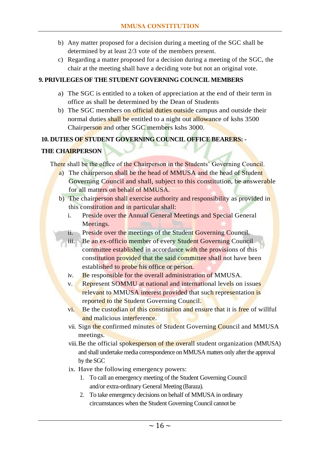- b) Any matter proposed for a decision during a meeting of the SGC shall be determined by at least 2/3 vote of the members present.
- c) Regarding a matter proposed for a decision during a meeting of the SGC, the chair at the meeting shall have a deciding vote but not an original vote.

#### **9. PRIVILEGES OF THE STUDENT GOVERNING COUNCIL MEMBERS**

- a) The SGC is entitled to a token of appreciation at the end of their term in office as shall be determined by the Dean of Students
- b) The SGC members on official duties outside campus and outside their normal duties shall be entitled to a night out allowance of kshs 3500 Chairperson and other SGC members kshs 3000.

#### **10. DUTIES OF STUDENT GOVERNING COUNCIL OFFICE BEARERS: -**

# **THE CHAIRPERSON**

There shall be the office of the Chairperson in the Students' Governing Council.

- a) The chairperson shall be the head of MMUSA and the head of Student Governing Council and shall, subject to this constitution, be answerable for all matters on behalf of MMUSA.
- b) The chairperson shall exercise authority and responsibility as provided in this constitution and in particular shall:
	- i. Preside over the Annual General Meetings and Special General Meetings.
	- ii. Preside over the meetings of the Student Governing Council.
	- iii. Be an ex-officio member of every Student Governing Council committee established in accordance with the provisions of this constitution provided that the said committee shall not have been established to probe his office or person.
	- iv. Be responsible for the overall administration of MMUSA.
	- v. Represent SOMMU at national and international levels on issues relevant to MMUSA interest provided that such representation is reported to the Student Governing Council.
	- vi. Be the custodian of this constitution and ensure that it is free of willful and malicious interference.
	- vii. Sign the confirmed minutes of Student Governing Council and MMUSA meetings.
	- viii. Be the official spokesperson of the overall student organization (MMUSA) and shall undertake media correspondence on MMUSA matters only after the approval by the SGC
	- ix. Have the following emergency powers:
		- 1. To call an emergency meeting of the Student Governing Council and/or extra-ordinary General Meeting (Baraza).
		- 2. To take emergency decisions on behalf of MMUSA in ordinary circumstances when the Student Governing Council cannot be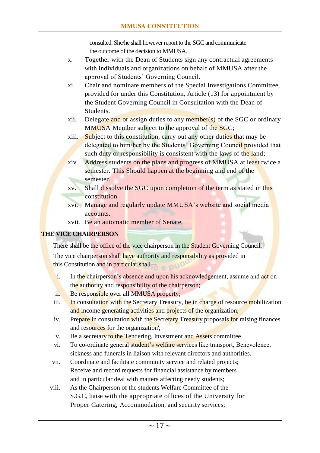consulted. She/he shall however report to the SGC and communicate the outcome of the decision to MMUSA.

- x. Together with the Dean of Students sign any contractual agreements with individuals and organizations on behalf of MMUSA after the approval of Students' Governing Council.
- xi. Chair and nominate members of the Special Investigations Committee, provided for under this Constitution, Article (13) for appointment by the Student Governing Council in Consultation with the Dean of Students.
- xii. Delegate and or assign duties to any member(s) of the SGC or ordinary MMUSA Member subject to the approval of the SGC;
- xiii. Subject to this constitution, carry out any other duties that may be delegated to him/her by the Students' Governing Council provided that such duty or responsibility is consistent with the laws of the land;
- xiv. Address students on the plans and progress of MMUSA at least twice a semester. This Should happen at the beginning and end of the semester.
- xv. Shall dissolve the SGC upon completion of the term as stated in this constitution
- xvi. Manage and regularly update MMUSA's website and social media accounts.
- xvii. Be an automatic member of Senate.

# **THE VICE CHAIRPERSON**

There shall be the office of the vice chairperson in the Student Governing Council. The vice chairperson shall have authority and responsibility as provided in this Constitution and in particular shall—

- i. In the chairperson's absence and upon his acknowledgement, assume and act on the authority and responsibility of the chairperson;
- ii. Be responsible over all MMUSA property;
- iii. In consultation with the Secretary Treasury, be in charge of resource mobilization and income generating activities and projects of the organization;
- iv. Prepare in consultation with the Secretary Treasury proposals for raising finances and resources for the organization',
- v. Be a secretary to the Tendering, Investment and Assets committee
- vi. To co-ordinate general student's welfare services like transport, Benevolence, sickness and funerals in liaison with relevant directors and authorities.
- vii. Coordinate and facilitate community service and related projects; Receive and record requests for financial assistance by members and in particular deal with matters affecting needy students;
- viii. As the Chairperson of the students Welfare Committee of the S.G.C, liaise with the appropriate offices of the University for Proper Catering, Accommodation, and security services;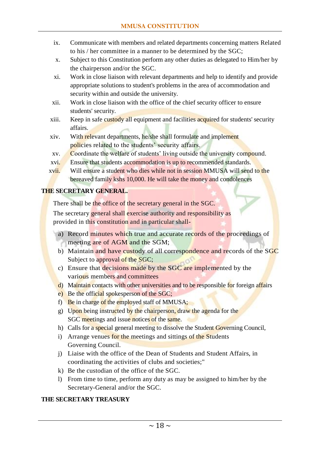- ix. Communicate with members and related departments concerning matters Related to his / her committee in a manner to be determined by the SGC;
- x. Subject to this Constitution perform any other duties as delegated to Him/her by the chairperson and/or the SGC.
- xi. Work in close liaison with relevant departments and help to identify and provide appropriate solutions to student's problems in the area of accommodation and security within and outside the university.
- xii. Work in close liaison with the office of the chief security officer to ensure students' security.
- xiii. Keep in safe custody all equipment and facilities acquired for students' security affairs.
- xiv. With relevant departments, he/she shall formulate and implement policies related to the students' security affairs.
- xv. Coordinate the welfare of students' living outside the university compound.
- xvi. Ensure that students accommodation is up to recommended standards.
- xvii. Will ensure a student who dies while not in session MMUSA will send to the bereaved family kshs 10,000. He will take the money and condolences

#### **THE SECRETARY GENERAL.**

There shall be the office of the secretary general in the SGC.

The secretary general shall exercise authority and responsibility as provided in this constitution and in particular shall-

- a) Record minutes which true and accurate records of the proceedings of meeting are of AGM and the SGM;
- b) Maintain and have custody of all correspondence and records of the SGC Subject to approval of the SGC;
- c) Ensure that decisions made by the SGC are implemented by the various members and committees
- d) Maintain contacts with other universities and to be responsible for foreign affairs
- e) Be the official spokesperson of the SGC;
- f) Be in charge of the employed staff of MMUSA;
- g) Upon being instructed by the chairperson, draw the agenda for the SGC meetings and issue notices of the same.
- h) Calls for a special general meeting to dissolve the Student Governing Council,
- i) Arrange venues for the meetings and sittings of the Students Governing Council.
- j) Liaise with the office of the Dean of Students and Student Affairs, in coordinating the activities of clubs and societies;"
- k) Be the custodian of the office of the SGC.
- l) From time to time, perform any duty as may be assigned to him/her by the Secretary-General and/or the SGC.

# **THE SECRETARY TREASURY**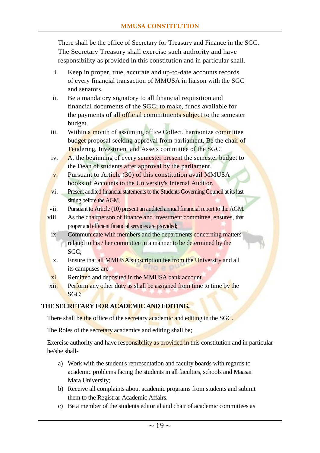There shall be the office of Secretary for Treasury and Finance in the SGC. The Secretary Treasury shall exercise such authority and have responsibility as provided in this constitution and in particular shall.

- i. Keep in proper, true, accurate and up-to-date accounts records of every financial transaction of MMUSA in liaison with the SGC and senators.
- ii. Be a mandatory signatory to all financial requisition and financial documents of the SGC; to make, funds available for the payments of all official commitments subject to the semester budget.
- iii. Within a month of assuming office Collect, harmonize committee budget proposal seeking approval from parliament, Be the chair of Tendering, Investment and Assets committee of the SGC.
- iv. At the beginning of every semester present the semester budget to the Dean of students after approval by the parliament.
- v. Pursuant to Article (30) of this constitution avail MMUSA books of Accounts to the University's Internal Auditor.
- vi. Present audited financial statements to the Students Governing Council at its last sitting before the AGM.
- vii. Pursuant to Article (10) present an audited annual financial report to the AGM.
- viii. As the chairperson of finance and investment committee, ensures, that proper and efficient financial services are provided;
	- ix. Communicate with members and the departments concerning matters related to his / her committee in a manner to be determined by the SGC;
	- x. Ensure that all MMUSA subscription fee from the University and all its campuses are
	- xi. Remitted and deposited in the MMUSA bank account.
- xii. Perform any other duty as shall be assigned from time to time by the SGC;

#### **THE SECRETARY FOR ACADEMIC AND EDITING.**

There shall be the office of the secretary academic and editing in the SGC.

The Roles of the secretary academics and editing shall be;

Exercise authority and have responsibility as provided in this constitution and in particular he/she shall-

- a) Work with the student's representation and faculty boards with regards to academic problems facing the students in all faculties, schools and Maasai Mara University;
- b) Receive all complaints about academic programs from students and submit them to the Registrar Academic Affairs.
- c) Be a member of the students editorial and chair of academic committees as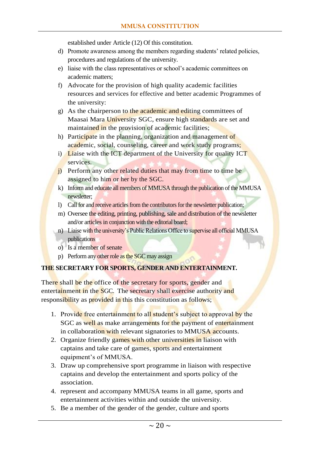established under Article (12) Of this constitution.

- d) Promote awareness among the members regarding students' related policies, procedures and regulations of the university.
- e) liaise with the class representatives or school's academic committees on academic matters;
- f) Advocate for the provision of high quality academic facilities resources and services for effective and better academic Programmes of the university:
- g) As the chairperson to the academic and editing committees of Maasai Mara University SGC, ensure high standards are set and maintained in the provision of academic facilities;
- h) Participate in the planning, organization and management of academic, social, counseling, career and work study programs;
- i) Liaise with the ICT department of the University for quality ICT services.
- j) Perform any other related duties that may from time to time be assigned to him or her by the SGC.
- k) Inform and educate all members of MMUSA through the publication of the MMUSA newsletter;
- l) Call for and receive articles from the contributors for the newsletter publication;
- m) Oversee the editing, printing, publishing, sale and distribution of the newsletter and/or articles in conjunction with the editorial board;
- n) Liaise with the university's Public Relations Office to supervise all official MMUSA publications
- o) Is a member of senate
- p) Perform any other role as the SGC may assign

#### **THE SECRETARY FOR SPORTS, GENDER AND ENTERTAINMENT.**

There shall be the office of the secretary for sports, gender and entertainment in the SGC. The secretary shall exercise authority and responsibility as provided in this this constitution as follows;

- 1. Provide free entertainment to all student's subject to approval by the SGC as well as make arrangements for the payment of entertainment in collaboration with relevant signatories to MMUSA accounts.
- 2. Organize friendly games with other universities in liaison with captains and take care of games, sports and entertainment equipment's of MMUSA.
- 3. Draw up comprehensive sport programme in liaison with respective captains and develop the entertainment and sports policy of the association.
- 4. represent and accompany MMUSA teams in all game, sports and entertainment activities within and outside the university.
- 5. Be a member of the gender of the gender, culture and sports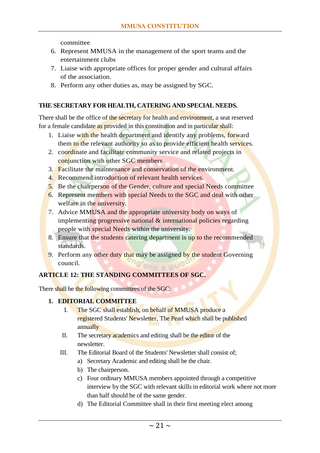committee

- 6. Represent MMUSA in the management of the sport teams and the entertainment clubs
- 7. Liaise with appropriate offices for proper gender and cultural affairs of the association.
- 8. Perform any other duties as, may be assigned by SGC.

#### **THE SECRETARY FOR HEALTH, CATERING AND SPECIAL NEEDS.**

There shall be the office of the secretary for health and environment, a seat reserved for a female candidate as provided in this constitution and in particular shall:

- 1. Liaise with the health department and identify any problems, forward them to the relevant authority so as to provide efficient health services.
- 2. coordinate and facilitate community service and related projects in conjunction with other SGC members
- 3. Facilitate the maintenance and conservation of the environment.
- 4. Recommend introduction of relevant health services.
- 5. Be the chairperson of the Gender, culture and special Needs committee
- 6. Represent members with special Needs to the SGC and deal with other welfare in the university.
- 7. Advice MMUSA and the appropriate university body on ways of implementing progressive national & international policies regarding people with special Needs within the university.
- 8. Ensure that the students catering department is up to the recommended standards.
- 9. Perform any other duty that may be assigned by the student Governing council.

# <span id="page-21-0"></span>**ARTICLE 12: THE STANDING COMMITTEES OF SGC.**

There shall be the following committees of the SGC:

#### **1. EDITORIAL COMMITTEE**

- I. The SGC shall establish, on behalf of MMUSA produce a registered Students' Newsletter, The Pearl which shall be published annually
- II. The secretary academics and editing shall be the editor of the newsletter.
- III. The Editorial Board of the Students' Newsletter shall consist of;
	- a) Secretary Academic and editing shall be the chair.
	- b) The chairperson.
	- c) Four ordinary MMUSA members appointed through a competitive interview by the SGC with relevant skills in editorial work where not more than half should be of the same gender.
	- d) The Editorial Committee shall in their first meeting elect among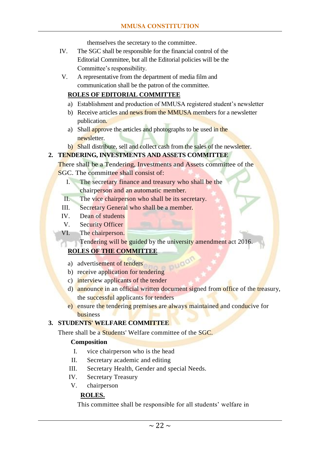themselves the secretary to the committee.

- IV. The SGC shall be responsible for the financial control of the Editorial Committee, but all the Editorial policies will be the Committee's responsibility.
- V. A representative from the department of media film and communication shall be the patron of the committee.

#### **ROLES OF EDITORIAL COMMITTEE**

- a) Establishment and production of MMUSA registered student's newsletter
- b) Receive articles and news from the MMUSA members for a newsletter publication.
- a) Shall approve the articles and photographs to be used in the newsletter.
- b) Shall distribute, sell and collect cash from the sales of the newsletter.

#### **2. TENDERING, INVESTMENTS AND ASSETS COMMITTEE**

There shall be a Tendering, Investments and Assets committee of the SGC. The committee shall consist of:

- I. The secretary finance and treasury who shall be the chairperson and an automatic member.
- II. The vice chairperson who shall be its secretary.
- III. Secretary General who shall be a member.
- IV. Dean of students
- V. Security Officer
- VI. The chairperson.

Tendering will be guided by the university amendment act 2016.

# **ROLES OF THE COMMITTEE**

- a) advertisement of tenders
- b) receive application for tendering
- c) interview applicants of the tender
- d) announce in an official written document signed from office of the treasury, the successful applicants for tenders

puga

e) ensure the tendering premises are always maintained and conducive for business

#### **3. STUDENTS' WELFARE COMMITTEE**

There shall be a **Students'** Welfare committee of the SGC.

#### **Composition**

- I. vice chairperson who is the head
- II. Secretary academic and editing
- III. Secretary Health, Gender and special Needs.
- IV. Secretary Treasury
- V. chairperson

#### **ROLES.**

This committee shall be responsible for all students' welfare in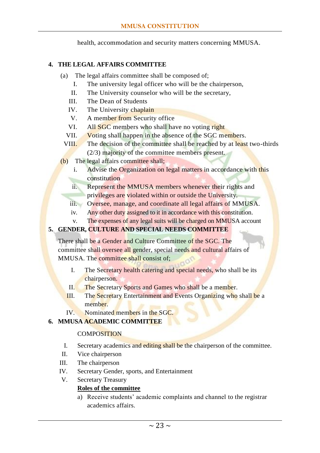health, accommodation and security matters concerning MMUSA.

#### **4. THE LEGAL AFFAIRS COMMITTEE**

- (a) The legal affairs committee shall be composed of;
	- I. The university legal officer who will be the chairperson,
	- II. The University counselor who will be the secretary,
	- III. The Dean of Students
	- IV. The University chaplain
	- V. A member from Security office
	- VI. All **SGC** members who shall have no voting right
	- VII. Voting shall happen in the absence of the SGC members.
	- VIII. The decision of the committee shall be reached by at least two-thirds (2/3) majority of the committee members present.
- (b) The legal affairs committee shall;
	- i. Advise the Organization on legal matters in accordance with this constitution
	- ii. Represent the MMUSA members whenever their rights and privileges are violated within or outside the University.
	- iii. Oversee, manage, and coordinate all legal affairs of MMUSA.
	- iv. Any other duty assigned to it in accordance with this constitution.
	- v. The expenses of any legal suits will be charged on MMUSA account

# **5. GENDER, CULTURE AND SPECIAL NEEDS COMMITTEE**

There shall be a Gender and Culture Committee of the SGC. The committee shall oversee all gender, special needs and cultural affairs of MMUSA. The committee shall consist of;

- I. The Secretary health catering and special needs, who shall be its chairperson.
- II. The Secretary Sports and Games who shall be a member.
- III. The Secretary Entertainment and Events Organizing who shall be a member.
- IV. Nominated members in the SGC.

# **6. MMUSA ACADEMIC COMMITTEE**

#### **COMPOSITION**

- I. Secretary academics and editing shall be the chairperson of the committee.
- II. Vice chairperson
- III. The chairperson
- IV. Secretary Gender, sports, and Entertainment
- V. Secretary Treasury

# **Roles of the committee**

a) Receive students' academic complaints and channel to the registrar academics affairs.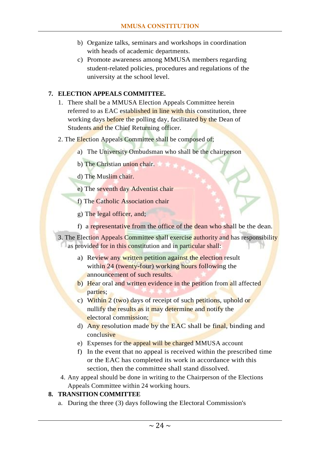- b) Organize talks, seminars and workshops in coordination with heads of academic departments.
- c) Promote awareness among MMUSA members regarding student-related policies, procedures and regulations of the university at the school level.

# **7. ELECTION APPEALS COMMITTEE.**

- 1. There shall be a MMUSA Election Appeals Committee herein referred to as EAC established in line with this constitution, three working days before the polling day, facilitated by the Dean of Students and the Chief Returning officer.
- 2. The Election Appeals Committee shall be composed of;
	- a) The University Ombudsman who shall be the chairperson
	- b) The Christian union chair.
	- d) The Muslim chair.
	- e) The seventh day Adventist chair
	- f) The Catholic Association chair
	- g) The legal officer, and;
	- f) a representative from the office of the dean who shall be the dean.
- 3. The Election Appeals Committee shall exercise authority and has responsibility as provided for in this constitution and in particular shall:
	- a) Review any written petition against the election result within 24 (twenty-four) working hours following the announcement of such results.
	- b) Hear oral and written evidence in the petition from all affected parties;
	- c) Within 2 (two) days of receipt of such petitions, uphold or nullify the results as it may determine and notify the electoral commission;
	- d) Any resolution made by the EAC shall be final, binding and conclusive
	- e) Expenses for the appeal will be charged MMUSA account
	- f) In the event that no appeal is received within the prescribed time or the EAC has completed its work in accordance with this section, then the committee shall stand dissolved.
- 4. Any appeal should be done in writing to the Chairperson of the Elections Appeals Committee within 24 working hours.

#### **8. TRANSITION COMMITTEE**

a. During the three (3) days following the Electoral Commission's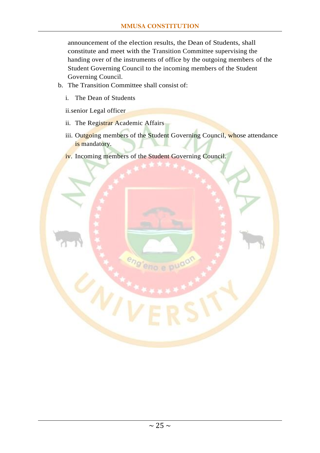announcement of the election results, the Dean of Students, shall constitute and meet with the Transition Committee supervising the handing over of the instruments of office by the outgoing members of the Student Governing Council to the incoming members of the Student Governing Council.

- b. The Transition Committee shall consist of:
	- i. The Dean of Students

ii.senior Legal officer

- ii. The Registrar Academic Affairs
- iii. Outgoing members of the Student Governing Council, whose attendance is mandatory.

eno e pud

iv. Incoming members of the Student Governing Council.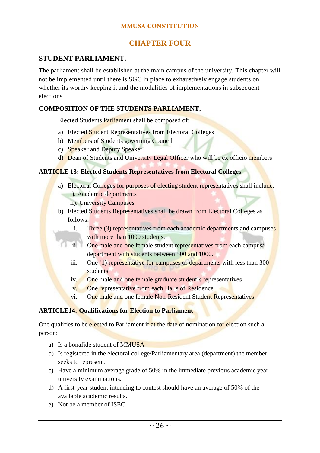# **CHAPTER FOUR**

#### <span id="page-26-1"></span><span id="page-26-0"></span>**STUDENT PARLIAMENT.**

The parliament shall be established at the main campus of the university. This chapter will not be implemented until there is SGC in place to exhaustively engage students on whether its worthy keeping it and the modalities of implementations in subsequent elections

#### **COMPOSITION OF THE STUDENTS PARLIAMENT,**

Elected Students Parliament shall be composed of:

- a) Elected Student Representatives from Electoral Colleges
- b) Members of Students governing Council
- c) Speaker and Deputy Speaker
- d) Dean of Students and University Legal Officer who will be ex officio members

#### <span id="page-26-2"></span>**ARTICLE 13: Elected Students Representatives from Electoral Colleges**

- a) Electoral Colleges for purposes of electing student representatives shall include: i). Academic departments
	- ii). University Campuses
- b) Elected Students Representatives shall be drawn from Electoral Colleges as follows:
	- i. Three (3) representatives from each academic departments and campuses with more than 1000 students.
	- ii. One male and one female student representatives from each campus/ department with students between 500 and 1000.
	- iii. One (1) representative for campuses or departments with less than 300 students.
	- iv. One male and one female graduate student's representatives
	- v. One representative from each Halls of Residence
	- vi. One male and one female Non-Resident Student Representatives

#### <span id="page-26-3"></span>**ARTICLE14: Qualifications for Election to Parliament**

One qualifies to be elected to Parliament if at the date of nomination for election such a person:

- a) Is a bonafide student of MMUSA
- b) Is registered in the electoral college/Parliamentary area (department) the member seeks to represent.
- c) Have a minimum average grade of 50% in the immediate previous academic year university examinations.
- d) A first-year student intending to contest should have an average of 50% of the available academic results.
- e) Not be a member of ISEC.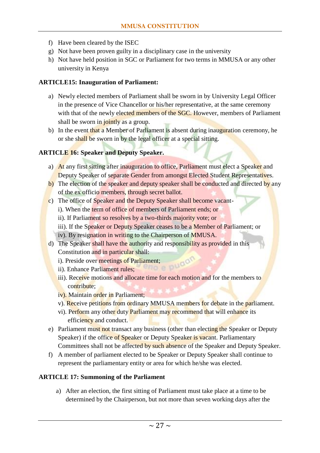- f) Have been cleared by the ISEC
- g) Not have been proven guilty in a disciplinary case in the university
- h) Not have held position in SGC or Parliament for two terms in MMUSA or any other university in Kenya

#### <span id="page-27-0"></span>**ARTICLE15: Inauguration of Parliament:**

- a) Newly elected members of Parliament shall be sworn in by University Legal Officer in the presence of Vice Chancellor or his/her representative, at the same ceremony with that of the newly elected members of the SGC. However, members of Parliament shall be sworn in jointly as a group.
- b) In the event that a Member of Parliament is absent during inauguration ceremony, he or she shall be sworn in by the legal officer at a special sitting.

#### <span id="page-27-1"></span>**ARTICLE 16: Speaker and Deputy Speaker.**

- a) At any first sitting after inauguration to office, Parliament must elect a Speaker and Deputy Speaker of separate Gender from amongst Elected Student Representatives.
- b) The election of the speaker and deputy speaker shall be conducted and directed by any of the ex officio members, through secret ballot.
- c) The office of Speaker and the Deputy Speaker shall become vacant
	- i). When the term of office of members of Parliament ends; or
	- ii). If Parliament so resolves by a two-thirds majority vote; or
	- iii). If the Speaker or Deputy Speaker ceases to be a Member of Parliament; or
	- iv). By resignation in writing to the Chairperson of MMUSA.
- d) The Speaker shall have the authority and responsibility as provided in this Constitution and in particular shall:
	- i). Preside over meetings of Parliament;<br>ii). Enhance Parliament rules:
	- ii). Enhance Parliament rules;
	- iii). Receive motions and allocate time for each motion and for the members to contribute;
	- iv). Maintain order in Parliament;
	- v). Receive petitions from ordinary MMUSA members for debate in the parliament.
	- vi). Perform any other duty Parliament may recommend that will enhance its efficiency and conduct.
- e) Parliament must not transact any business (other than electing the Speaker or Deputy Speaker) if the office of Speaker or Deputy Speaker is vacant. Parliamentary Committees shall not be affected by such absence of the Speaker and Deputy Speaker.
- f) A member of parliament elected to be Speaker or Deputy Speaker shall continue to represent the parliamentary entity or area for which he/she was elected.

#### <span id="page-27-2"></span>**ARTICLE 17: Summoning of the Parliament**

a) After an election, the first sitting of Parliament must take place at a time to be determined by the Chairperson, but not more than seven working days after the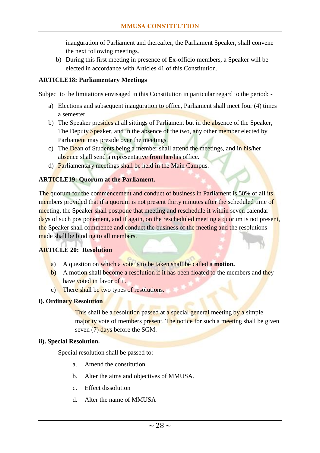inauguration of Parliament and thereafter, the Parliament Speaker, shall convene the next following meetings.

b) During this first meeting in presence of Ex-officio members, a Speaker will be elected in accordance with Articles 41 of this Constitution.

#### <span id="page-28-0"></span>**ARTICLE18: Parliamentary Meetings**

Subject to the limitations envisaged in this Constitution in particular regard to the period: -

- a) Elections and subsequent inauguration to office, Parliament shall meet four (4) times a semester.
- b) The Speaker presides at all sittings of Parliament but in the absence of the Speaker, The Deputy Speaker, and in the absence of the two, any other member elected by Parliament may preside over the meetings.
- c) The Dean of Students being a member shall attend the meetings, and in his/her absence shall send a representative from her/his office.
- d) Parliamentary meetings shall be held in the Main Campus.

#### <span id="page-28-1"></span>**ARTICLE19: Quorum at the Parliament.**

The quorum for the commencement and conduct of business in Parliament is 50% of all its members provided that if a quorum is not present thirty minutes after the scheduled time of meeting, the Speaker shall postpone that meeting and reschedule it within seven calendar days of such postponement, and if again, on the rescheduled meeting a quorum is not present, the Speaker shall commence and conduct the business of the meeting and the resolutions made shall be binding to all members.

#### <span id="page-28-2"></span>**ARTICLE 20: Resolution**

- a) A question on which a vote is to be taken shall be called a **motion.**
- b) A motion shall become a resolution if it has been floated to the members and they have voted in favor of it.
- c) There shall be two types of resolutions.

#### **i). Ordinary Resolution**

This shall be a resolution passed at a special general meeting by a simple majority vote of members present. The notice for such a meeting shall be given seven (7) days before the SGM.

#### **ii). Special Resolution.**

Special resolution shall be passed to:

- a. Amend the constitution.
- b. Alter the aims and objectives of MMUSA.
- c. Effect dissolution
- d. Alter the name of MMUSA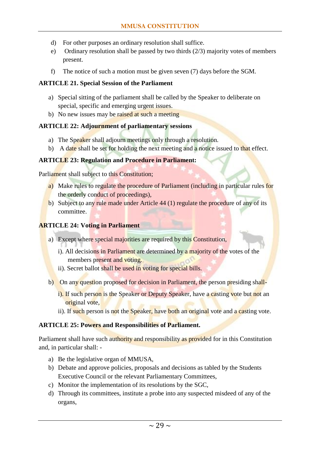- d) For other purposes an ordinary resolution shall suffice.
- e) Ordinary resolution shall be passed by two thirds (2/3) majority votes of members present.
- f) The notice of such a motion must be given seven (7) days before the SGM.

#### <span id="page-29-0"></span>**ARTICLE 21. Special Session of the Parliament**

- a) Special sitting of the parliament shall be called by the Speaker to deliberate on special, specific and emerging urgent issues.
- b) No new issues may be raised at such a meeting

#### <span id="page-29-1"></span>**ARTICLE 22: Adjournment of parliamentary sessions**

- a) The Speaker shall adjourn meetings only through a resolution.
- b) A date shall be set for holding the next meeting and a notice issued to that effect.

#### <span id="page-29-2"></span>**ARTICLE 23: Regulation and Procedure in Parliament:**

Parliament shall subject to this Constitution;

- a) Make rules to regulate the procedure of Parliament (including in particular rules for the orderly conduct of proceedings),
- b) Subject to any rule made under Article 44 (1) regulate the procedure of any of its committee.

#### <span id="page-29-3"></span>**ARTICLE 24: Voting in Parliament**

- a) Except where special majorities are required by this Constitution,
	- i). All decisions in Parliament are determined by a majority of the votes of the members present and voting.
	- ii). Secret ballot shall be used in voting for special bills.
- b) On any question proposed for decision in Parliament, the person presiding shall
	- i). If such person is the Speaker or Deputy Speaker, have a casting vote but not an original vote,
	- ii). If such person is not the Speaker, have both an original vote and a casting vote.

#### <span id="page-29-4"></span>**ARTICLE 25: Powers and Responsibilities of Parliament.**

Parliament shall have such authority and responsibility as provided for in this Constitution and, in particular shall: -

- a) Be the legislative organ of MMUSA,
- b) Debate and approve policies, proposals and decisions as tabled by the Students Executive Council or the relevant Parliamentary Committees,
- c) Monitor the implementation of its resolutions by the SGC,
- d) Through its committees, institute a probe into any suspected misdeed of any of the organs,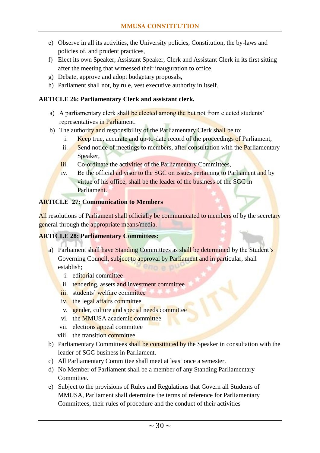- e) Observe in all its activities, the University policies, Constitution, the by-laws and policies of, and prudent practices,
- f) Elect its own Speaker, Assistant Speaker, Clerk and Assistant Clerk in its first sitting after the meeting that witnessed their inauguration to office,
- g) Debate, approve and adopt budgetary proposals,
- h) Parliament shall not, by rule, vest executive authority in itself.

#### <span id="page-30-0"></span>**ARTICLE 26: Parliamentary Clerk and assistant clerk.**

- a) A parliamentary clerk shall be elected among the but not from elected students' representatives in Parliament.
- b) The authority and responsibility of the Parliamentary Clerk shall be to;
	- i. Keep true, accurate and up-to-date record of the proceedings of Parliament,
	- ii. Send notice of meetings to members, after consultation with the Parliamentary Speaker,
	- iii. Co-ordinate the activities of the Parliamentary Committees,
	- iv. Be the official ad visor to the SGC on issues pertaining to Parliament and by virtue of his office, shall be the leader of the business of the SGC in Parliament.

#### <span id="page-30-1"></span>**ARTICLE 27: Communication to Members**

All resolutions of Parliament shall officially be communicated to members of by the secretary general through the appropriate means/media.

#### <span id="page-30-2"></span>**ARTICLE 28: Parliamentary Committees:**

- a) Parliament shall have Standing Committees as shall be determined by the Student's Governing Council, subject to approval by Parliament and in particular, shall establish;  $10.00$ 
	- i. editorial committee
	- ii. tendering, assets and investment committee
	- iii. students' welfare committee
	- iv. the legal affairs committee
	- v. gender, culture and special needs committee
	- vi. the MMUSA academic committee
	- vii. elections appeal committee
	- viii. the transition committee
- b) Parliamentary Committees shall be constituted by the Speaker in consultation with the leader of SGC business in Parliament.
- c) All Parliamentary Committee shall meet at least once a semester.
- d) No Member of Parliament shall be a member of any Standing Parliamentary Committee.
- e) Subject to the provisions of Rules and Regulations that Govern all Students of MMUSA, Parliament shall determine the terms of reference for Parliamentary Committees, their rules of procedure and the conduct of their activities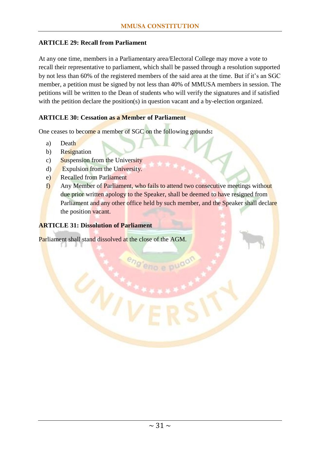#### <span id="page-31-0"></span>**ARTICLE 29: Recall from Parliament**

At any one time, members in a Parliamentary area/Electoral College may move a vote to recall their representative to parliament, which shall be passed through a resolution supported by not less than 60% of the registered members of the said area at the time. But if it's an SGC member, a petition must be signed by not less than 40% of MMUSA members in session. The petitions will be written to the Dean of students who will verify the signatures and if satisfied with the petition declare the position(s) in question vacant and a by-election organized.

#### <span id="page-31-1"></span>**ARTICLE 30: Cessation as a Member of Parliament**

One ceases to become a member of SGC on the following grounds**:**

- a) Death
- b) Resignation
- c) Suspension from the University
- d) Expulsion from the University.
- e) Recalled from Parliament
- f) Any Member of Parliament, who fails to attend two consecutive meetings without due prior written apology to the Speaker, shall be deemed to have resigned from Parliament and any other office held by such member, and the Speaker shall declare the position vacant.

no e puo

#### <span id="page-31-2"></span>**ARTICLE 31: Dissolution of Parliament**

Parliament shall stand dissolved at the close of the AGM.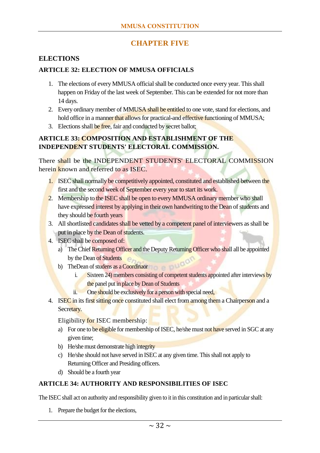# **CHAPTER FIVE**

#### <span id="page-32-1"></span><span id="page-32-0"></span>**ELECTIONS**

#### <span id="page-32-2"></span>**ARTICLE 32: ELECTION OF MMUSA OFFICIALS**

- 1. The elections of every MMUSA official shall be conducted once every year. This shall happen on Friday of the last week of September. This can be extended for not more than 14 days.
- 2. Every ordinary member of MMUSA shall be entitled to one vote, stand for elections, and hold office in a manner that allows for practical-and effective functioning of MMUSA;
- 3. Elections shall be free, fair and conducted by secret ballot;

#### <span id="page-32-3"></span>**ARTICLE 33: COMPOSITION AND ESTABLISHMENT OF THE INDEPENDENT STUDENTS' ELECTORAL COMMISSION.**

There shall be the INDEPENDENT STUDENTS' ELECTORAL COMMISSION herein known and referred to as ISEC.

- 1. ISEC shall normally be competitively appointed, constituted and established between the first and the second week of September every year to start its work.
- 2. Membership to the ISEC shall be open to every MMUSA ordinary member who shall have expressed interest by applying in their own handwriting to the Dean of students and they should be fourth years
- 3. All shortlisted candidates shall be vetted by a competent panel of interviewers as shall be put in place by the Dean of students.
- 4. ISEC shall be composed of:
	- a) The Chief Returning Officer and the Deputy Returning Officer who shall all be appointed by the Dean of Students
	- b) TheDean of studens as a Coordinaor
		- i. Sixteen 24) members consisting of competent students appointed after interviews by the panel put in place by Dean of Students
		- ii. One should be exclusively for a person with special need,
- 4. ISEC in its first sitting once constituted shall elect from among them a Chairperson and a Secretary.

Eligibility for ISEC membership:

- a) For one to be eligible for membership of ISEC, he/she must not have served in SGC at any given time;
- b) He/she must demonstrate high integrity
- c) He/she should not have served in ISEC at any given time. This shall not apply to Returning Officer and Presiding officers.
- d) Should be a fourth year

# <span id="page-32-4"></span>**ARTICLE 34: AUTHORITY AND RESPONSIBILITIES OF ISEC**

The ISEC shall act on authority and responsibility given to it in this constitution and in particular shall:

1. Prepare the budget for the elections,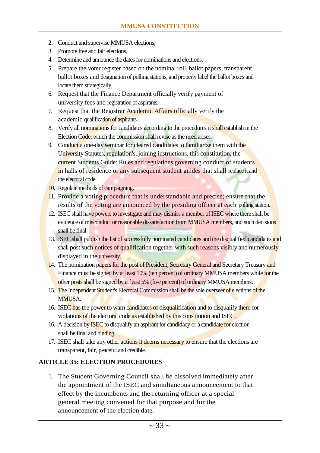- 2. Conduct and supervise MMUSA elections,
- 3. Promote free and fair elections,
- 4. Determine and announce the dates for nominations and elections.
- 5. Prepare the voter register based on the nominal roll, ballot papers, transparent ballot boxes and designation of polling stations, and properly label the ballot boxes and locate them strategically.
- 6. Request that the Finance Department officially verify payment of university fees and registration of aspirants.
- 7. Request that the Registrar Academic Affairs officially verify the academic qualification of aspirants.
- 8. Verify all nominations for candidates according to the procedures it shall establish in the Election Code, which the commission shall revise as the need arises.
- 9. Conduct a one-day seminar for cleared candidates to familiarize them with the University Statutes, regulation's, joining instructions, this constitution, the current Students Guide: Rules and regulations governing conduct of students in halls of residence or any subsequent student guides that shall replace it and the electoral code.
- 10. Regulate methods of campaigning.
- 11. Provide a voting procedure that is understandable and precise; ensure that the results of the voting are announced by the presiding officer at each polling station.
- 12. ISEC shall have powers to investigate and may dismiss a member of ISEC where there shall be evidence of misconduct or reasonable dissatisfaction from MMUSA members, and such decisions shall be final.
- 13. ISEC shall publish the list of successfully nominated candidates and the disqualified candidates and shall post such notices of qualification together with such reasons visibly and numerously displayed in the university.
- 14. The nomination papers for the post of President, Secretary General and Secretary Treasury and Finance must be signed by at least 10% (ten percent) of ordinary MMUSA members while for the other posts shall be signed by at least 5% (five percent) of ordinary MMUSA members.
- 15. The Independent Student's Electoral Commission shall be the sole overseer of elections of the MMUSA.
- 16. ISEC has the power to warn candidates of disqualification and to disqualify them for violations of the electoral code as established by this constitution and ISEC.
- 16. A decision by **ISEC** to disqualify an aspirant for candidacy or a candidate for election shall be final and binding.
- 17. ISEC shall take any other actions it deems necessary to ensure that the elections are transparent, fair, peaceful and credible.

#### <span id="page-33-0"></span>**ARTICLE 35: ELECTION PROCEDURES**

1. The Student Governing Council shall be dissolved immediately after the appointment of the ISEC and simultaneous announcement to that effect by the incumbents and the returning officer at a special general meeting convened for that purpose and for the announcement of the election date.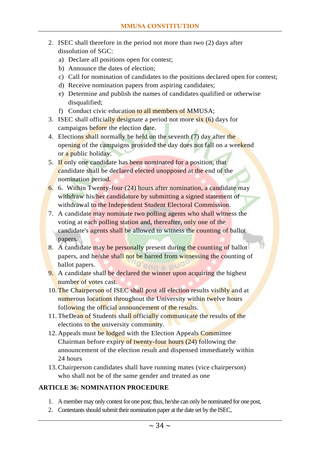- 2. ISEC shall therefore in the period not more than two (2) days after dissolution of SGC:
	- a) Declare all positions open for contest;
	- b) Announce the dates of election;
	- c) Call for nomination of candidates to the positions declared open for contest;
	- d) Receive nomination papers from aspiring candidates;
	- e) Determine and publish the names of candidates qualified or otherwise disqualified;
	- f) Conduct civic education to all members of MMUSA;
- 3. ISEC shall officially designate a period not more six (6) days for campaigns before the election date.
- 4. Elections shall normally be held on the seventh (7) day after the opening of the campaigns provided the day does not fall on a weekend or a public holiday.
- 5. If only one candidate has been nominated for a position, that candidate shall be declared elected unopposed at the end of the nomination period.
- 6. 6. Within Twenty-four (24) hours after nomination, a candidate may withdraw his/her candidature by submitting a signed statement of withdrawal to the Independent Student Electoral Commission.
- 7. A candidate may nominate two polling agents who shall witness the voting at each polling station and, thereafter, only one of the candidate's agents shall be allowed to witness the counting of ballot papers.
- 8. A candidate may be personally present during the counting of ballot papers, and he/she shall not be barred from witnessing the counting of ballot papers.
- 9. A candidate shall be declared the winner upon acquiring the highest number of votes cast.
- 10. The Chairperson of ISEC shall post all election results visibly and at numerous locations throughout the University within twelve hours following the official announcement of the results.
- 11. TheDean of Students shall officially communicate the results of the elections to the university community.
- 12. Appeals must be lodged with the Election Appeals Committee Chairman before expiry of twenty-four hours (24) following the announcement of the election result and dispensed immediately within 24 hours
- 13.Chairperson candidates shall have running mates (vice chairperson) who shall not be of the same gender and treated as one

# <span id="page-34-0"></span>**ARTICLE 36: NOMINATION PROCEDURE**

- 1. A member may only contest for one post; thus, he/she can only be nominated for one post,
- 2. Contestants should submit their nomination paper at the date set by the ISEC,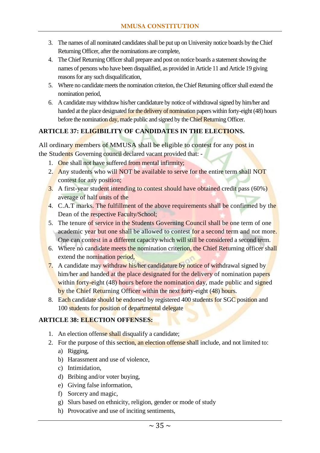- 3. The names of all nominated candidates shall be put up on University notice boards by the Chief Returning Officer, after the nominations are complete,
- 4. The Chief Returning Officer shall prepare and post on notice boards a statement showing the names of persons who have been disqualified, as provided in Article 11 and Article 19 giving reasons for any such disqualification,
- 5. Where no candidate meets the nomination criterion, the Chief Returning officer shall extend the nomination period,
- 6. A candidate may withdraw his/her candidature by notice of withdrawal signed by him/her and handed at the place designated for the delivery of nomination papers within forty-eight (48) hours before the nomination day, made public and signed by the Chief Returning Officer.

#### <span id="page-35-0"></span>**ARTICLE 37: ELIGIBILITY OF CANDIDATES IN THE ELECTIONS.**

All ordinary members of MMUSA shall be eligible to contest for any post in the Students Governing council declared vacant provided that: -

- 1. One shall not have suffered from mental infirmity;
- 2. Any students who will NOT be available to serve for the entire term shall NOT contest for any position;
- 3. A first-year student intending to contest should have obtained credit pass (60%) average of half units of the
- 4. C.A.T marks. The fulfillment of the above requirements shall be confirmed by the Dean of the respective Faculty/School;
- 5. The tenure of service in the Students Governing Council shall be one term of one academic year but one shall be allowed to contest for a second term and not more. One can contest in a different capacity which will still be considered a second term.
- 6. Where no candidate meets the nomination criterion, the Chief Returning officer shall extend the nomination period,
- 7. A candidate may withdraw his/her candidature by notice of withdrawal signed by him/her and handed at the place designated for the delivery of nomination papers within forty-eight (48) hours before the nomination day, made public and signed by the Chief Returning Officer within the next forty-eight (48) hours.
- 8. Each candidate should be endorsed by registered 400 students for SGC position and 100 students for position of departmental delegate

#### <span id="page-35-1"></span>**ARTICLE 38: ELECTION OFFENSES:**

- 1. An election offense shall disqualify a candidate;
- 2. For the purpose of this section, an election offense shall include, and not limited to:
	- a) Rigging,
	- b) Harassment and use of violence,
	- c) Intimidation,
	- d) Bribing and/or voter buying,
	- e) Giving false information,
	- f) Sorcery and magic,
	- g) Slurs based on ethnicity, religion, gender or mode of study
	- h) Provocative and use of inciting sentiments,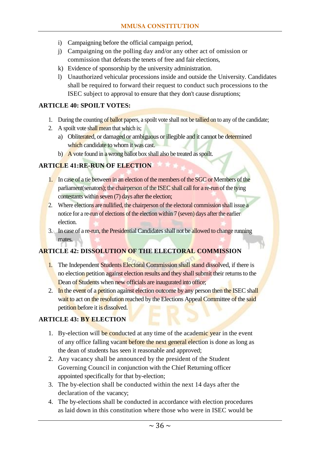- i) Campaigning before the official campaign period,
- j) Campaigning on the polling day and/or any other act of omission or commission that defeats the tenets of free and fair elections,
- k) Evidence of sponsorship by the university administration.
- l) Unauthorized vehicular processions inside and outside the University. Candidates shall be required to forward their request to conduct such processions to the ISEC subject to approval to ensure that they don't cause disruptions;

#### <span id="page-36-0"></span>**ARTICLE 40: SPOILT VOTES:**

- 1. During the counting of **ballot** papers, a spoilt vote shall not be tallied on to any of the candidate;
- 2. A spoilt vote shall mean that which is;
	- a) Obliterated, or damaged or ambiguous or illegible and it cannot be determined which candidate to whom it was cast.
	- b) A vote found in a wrong ballot box shall also be treated as spoilt.

#### <span id="page-36-1"></span>**ARTICLE 41:RE-RUN OF ELECTION**

- 1. In case of a tie between in an election of the members of the SGC or Members of the parliament(senators); the chairperson of the ISEC shall call for a re-run of the tying contestants within seven (7) days after the election;
- 2. Where elections are nullified, the chairperson of the electoral commission shall issue a notice for a re-run of elections of the election within 7 (seven) days after the earlier election.
- 3. In case of a re-run, the Presidential Candidates shall not be allowed to change running mates.

# <span id="page-36-2"></span>**ARTICLE 42: DISSOLUTION OF THE ELECTORAL COMMISSION**

- 1. The Independent Students Electoral Commission shall stand dissolved, if there is no election petition against election results and they shall submit their returns to the Dean of Students when new officials are inaugurated into office;
- 2. In the event of a petition against election outcome by any person then the ISEC shall wait to act on the resolution reached by the Elections Appeal Committee of the said petition before it is dissolved.

#### <span id="page-36-3"></span>**ARTICLE 43: BY ELECTION**

- 1. By-election will be conducted at any time of the academic year in the event of any office falling vacant before the next general election is done as long as the dean of students has seen it reasonable and approved;
- 2. Any vacancy shall be announced by the president of the Student Governing Council in conjunction with the Chief Returning officer appointed specifically for that by-election;
- 3. The by-election shall be conducted within the next 14 days after the declaration of the vacancy;
- 4. The by-elections shall be conducted in accordance with election procedures as laid down in this constitution where those who were in ISEC would be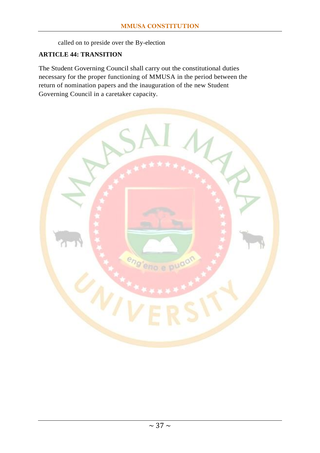called on to preside over the By-election

#### <span id="page-37-0"></span>**ARTICLE 44: TRANSITION**

The Student Governing Council shall carry out the constitutional duties necessary for the proper functioning of MMUSA in the period between the return of nomination papers and the inauguration of the new Student Governing Council in a caretaker capacity.

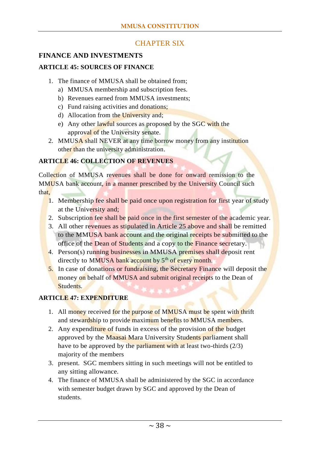# CHAPTER SIX

# <span id="page-38-2"></span><span id="page-38-1"></span><span id="page-38-0"></span>**FINANCE AND INVESTMENTS ARTICLE 45: SOURCES OF FINANCE**

- 1. The finance of MMUSA shall be obtained from;
	- a) MMUSA membership and subscription fees.
	- b) Revenues earned from MMUSA investments;
	- c) Fund raising activities and donations;
	- d) Allocation from the University and;
	- e) Any other lawful sources as proposed by the  $SGC$  with the approval of the University senate.
- 2. MMUSA shall NEVER at any time borrow money from any institution other than the university administration.

#### <span id="page-38-3"></span>**ARTICLE 46: COLLECTION OF REVENUES**

Collection of MMUSA revenues shall be done for onward remission to the MMUSA bank account, in a manner prescribed by the University Council such that,

- 1. Membership fee shall be paid once upon registration for first year of study at the University and;
- 2. Subscription fee shall be paid once in the first semester of the academic year.
- 3. All other revenues as stipulated in Article 25 above and shall be remitted to the MMUSA bank account and the original receipts be submitted to the office of the Dean of Students and a copy to the Finance secretary.
- 4. Person(s) running businesses in MMUSA premises shall deposit rent directly to MMUSA bank account by  $5<sup>th</sup>$  of every month.
- 5. In case of donations or fundraising, the Secretary Finance will deposit the money on behalf of MMUSA and submit original receipts to the Dean of Students.

#### <span id="page-38-4"></span>**ARTICLE 47: EXPENDITURE**

- 1. All money received for the purpose of MMUSA must be spent with thrift and stewardship to provide maximum benefits to MMUSA members.
- 2. Any expenditure of funds in excess of the provision of the budget approved by the Maasai Mara University Students parliament shall have to be approved by the parliament with at least two-thirds (2/3) majority of the members
- 3. present. SGC members sitting in such meetings will not be entitled to any sitting allowance.
- 4. The finance of MMUSA shall be administered by the SGC in accordance with semester budget drawn by SGC and approved by the Dean of students.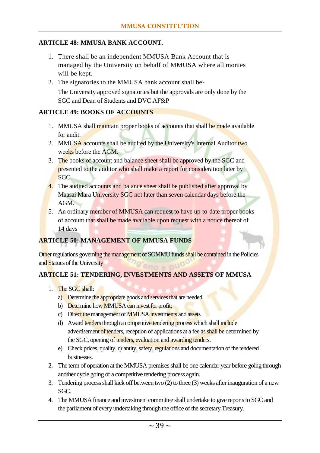#### <span id="page-39-0"></span>**ARTICLE 48: MMUSA BANK ACCOUNT.**

1. There shall be an independent MMUSA Bank Account that is managed by the University on behalf of MMUSA where all monies will be kept.

2. The signatories to the MMUSA bank account shall be-The University approved signatories but the approvals are only done by the SGC and Dean of Students and DVC AF&P

#### <span id="page-39-1"></span>**ARTICLE 49: BOOKS OF ACCOUNTS**

- 1. MMUSA shall maintain proper books of accounts that shall be made available for audit.
- 2. MMUSA accounts shall be audited by the University's Internal Auditor two weeks before the AGM.
- 3. The books of account and balance sheet shall be approved by the SGC and presented to the auditor who shall make a report for consideration later by SGC.
- 4. The audited accounts and balance sheet shall be published after approval by Maasai Mara University SGC not later than seven calendar days before the AGM.
- 5. An ordinary member of MMUSA can request to have up-to-date proper books of account that shall be made available upon request with a notice thereof of 14 days

#### <span id="page-39-2"></span>**ARTICLE 50: MANAGEMENT OF MMUSA FUNDS**

Other regulations governing the management of SOMMU funds shall be contained in the Policies and Statues of the University

#### <span id="page-39-3"></span>**ARTICLE 51: TENDERING, INVESTMENTS AND ASSETS OF MMUSA**

- 1. The SGC shall:
	- a) Determine the appropriate goods and services that are needed
	- b) Determine how MMUSA can invest for profit;
	- c) Direct the management of MMUSA investments and assets
	- d) Award tenders through a competitive tendering process which shall include advertisement of tenders, reception of applications at a fee as shall be determined by the SGC, opening of tenders, evaluation and awarding tenders.
	- e) Check prices, quality, quantity, safety, regulations and documentation of the tendered businesses.
- 2. The term of operation at the MMUSA premises shall be one calendar year before going through another cycle going of a competitive tendering process again.
- 3. Tendering process shall kick off between two (2) to three (3) weeks after inauguration of a new SGC.
- 4. The MMUSA finance and investment committee shall undertake to give reports to SGC and the parliament of every undertaking through the office of the secretary Treasury.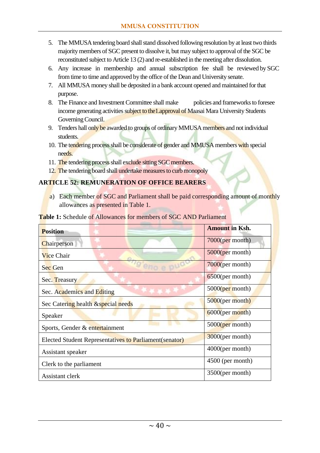- 5. The MMUSA tendering board shall stand dissolved following resolution by at least two thirds majority members of SGC present to dissolve it, but may subject to approval of the SGC be reconstituted subject to Article 13 (2) and re-established in the meeting after dissolution.
- 6. Any increase in membership and annual subscription fee shall be reviewed by SGC from time to time and approved by the office of the Dean and University senate.
- 7. All MMUSA money shall be deposited in a bank account opened and maintained for that purpose.
- 8. The Finance and Investment Committee shall make policies and frameworks to foresee income generating activities subject to the 1.approval of Maasai Mara University Students Governing Council.
- 9. Tenders hall only be awarded to groups of ordinary MMUSA members and not individual students.
- 10. The tendering process shall be considerate of gender and MMUSA members with special needs.
- 11. The tendering process shall exclude sitting SGC members.
- 12. The tendering board shall undertake measures to curb monopoly

#### <span id="page-40-0"></span>**ARTICLE 52: REMUNERATION OF OFFICE BEARERS**

a) Each member of SGC and Parliament shall be paid corresponding amount of monthly allowances as presented in Table 1.

| <b>Position</b>                                                | <b>Amount in Ksh.</b> |
|----------------------------------------------------------------|-----------------------|
| Chairperson                                                    | $7000$ (per month)    |
| Vice Chair                                                     | $5000$ (per month)    |
| Sec Gen                                                        | $7000$ (per month)    |
| Sec. Treasury                                                  | $6500$ (per month)    |
| Sec. Academics and Editing                                     | $5000$ (per month)    |
| Sec Catering health & special needs                            | $5000$ (per month)    |
| Speaker                                                        | $6000$ (per month)    |
| Sports, Gender & entertainment                                 | $5000$ (per month)    |
| <b>Elected Student Representatives to Parliament (senator)</b> | $3000$ (per month)    |
| Assistant speaker                                              | $4000$ (per month)    |
| Clerk to the parliament                                        | $4500$ (per month)    |
| Assistant clerk                                                | 3500(per month)       |

**Table 1:** Schedule of Allowances for members of SGC AND Parliament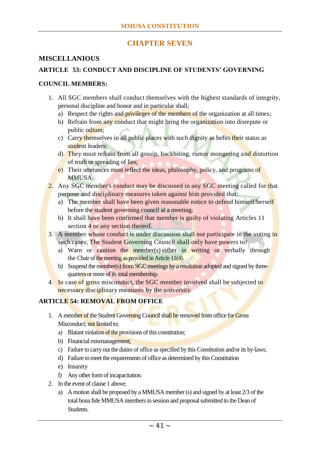# **CHAPTER SEVEN**

#### <span id="page-41-1"></span><span id="page-41-0"></span>**MISCELLANIOUS**

#### <span id="page-41-2"></span>**ARTICLE 53: CONDUCT AND DISCIPLINE OF STUDENTS' GOVERNING**

#### <span id="page-41-3"></span>**COUNCIL MEMBERS:**

- 1. All SGC members shall conduct themselves with the highest standards of integrity, personal discipline and honor and in particular shall;
	- a) Respect the rights and privileges of the members of the organization at all times;
	- b) Refrain from any conduct that might bring the organization into disrepute or public odium;
	- c) Carry themselves in all public places with such dignity as befits their status as student leaders;
	- d) They must refrain from all gossip, backbiting, rumor mongering and distortion of truth or spreading of lies;
	- e) Their utterances must reflect the ideas, philosophy, policy, and programs of MMUSA.
- 2. Any SGC member's conduct may be discussed in any SGC meeting called for that purpose and disciplinary measures taken against him provided that:
	- a) The member shall have been given reasonable notice to defend himself/herself before the student governing council at a meeting;
	- b) It shall have been confirmed that member is guilty of violating Articles 11 section 4 or any section thereof.
- 3. A member whose conduct is under discussion shall not participate in the voting in such cases; The Student Governing Council shall only have powers to!
	- a) Warn or caution the member(s) either in writing or verbally through the Chair of the meeting as provided in Article 11(4).
	- b) Suspend the member(s) from SGC meetings by a resolution adopted and signed by threequarters or more of its total membership.
- 4. In case of gross misconduct, the SGC member involved shall be subjected to necessary disciplinary measures by the university.

#### <span id="page-41-4"></span>**ARTICLE 54: REMOVAL FROM OFFICE**

- 1. A member of the Student Governing Council shall be removed from office for Gross Misconduct; not limited to;
	- a) Blatant violation of the provisions of this constitution;
	- b) Financial mismanagement;
	- c) Failure to carry out the duties of office as specified by this Constitution and/or its by-laws;
	- d) Failure to meet the requirements of office as determined by this Constitution
	- e) Insanity
	- f) Any other form of incapacitation.
- 2. In the event of clause 1 above;
	- a) A motion shall be proposed by a MMUSA member (s) and signed by at least 2/3 of the total bona fide MMUSA members in session and proposal submitted to the Dean of Students.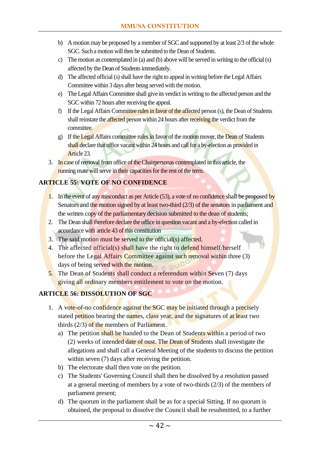- b) A motion may be proposed by a member of SGC and supported by at least 2/3 of the whole SGC. Such a motion will then be submitted to the Dean of Students.
- c) The motion as contemplated in (a) and (b) above will be served in writing to the official (s) affected by the Dean of Students immediately.
- d) The affected official (s) shall have the right to appeal in writing before the Legal Affairs Committee within 3 days after being served with the motion.
- e) The Legal Affairs Committee shall give its verdict in writing to the affected person and the SGC within 72 hours after receiving the appeal.
- f) If the Legal Affairs Committee rules in favor of the affected person (s), the Dean of Students shall reinstate the affected person within 24 hours after receiving the verdict from the committee.
- g) If the Legal Affairs committee rules in favor of the motion mover, the Dean of Students shall declare that office vacant within 24 hours and call for a by-election as provided in Article 23.
- 3. In case of removal from office of the Chairpersonas contemplated in this article, the running mate will serve in their capacities for the rest of the term.

#### <span id="page-42-0"></span>**ARTICLE 55: VOTE OF NO CONFIDENCE**

- 1. In the event of any misconduct as per Article (53), a vote of no confidence shall be proposed by Senators and the motion signed by at least two-third (2/3) of the senators in parliament and the written copy of the parliamentary decision submitted to the dean of students;
- 2. The Dean shall therefore declare the office in question vacant and a by-election called in accordance with article 43 of this constitution
- 3. The said motion must be served to the official(s) affected.
- 4. The affected official(s) shall have the right to defend himself/herself before the Legal Affairs Committee against such removal within three (3) days of being served with the motion.
- 5. The Dean of Students shall conduct a referendum within Seven (7) days giving all ordinary members entitlement to vote on the motion.

# <span id="page-42-1"></span>**ARTICLE 56: DISSOLUTION OF SGC**

- 1. A vote-of-no confidence against the SGC may be initiated through a precisely stated petition bearing the names, class year, and the signatures of at least two thirds (2/3) of the members of Parliament.
	- a) The petition shall be handed to the Dean of Students within a period of two (2) weeks of intended date of oust. The Dean of Students shall investigate the allegations and shall call a General Meeting of the students to discuss the petition within seven (7) days after receiving the petition.
	- b) The electorate shall then vote on the petition.
	- c) The Students' Governing Council shall then be dissolved by a resolution passed at a general meeting of members by a vote of two-thirds (2/3) of the members of parliament present;
	- d) The quorum in the parliament shall be as for a special Sitting. If no quorum is obtained, the proposal to dissolve the Council shall be resubmitted, to a further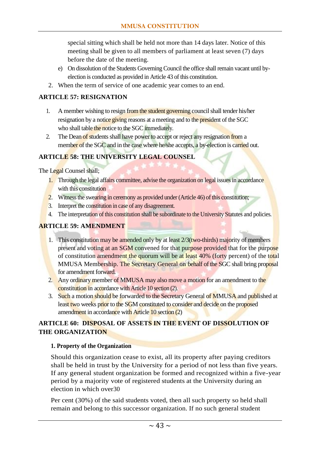special sitting which shall be held not more than 14 days later. Notice of this meeting shall be given to all members of parliament at least seven (7) days before the date of the meeting.

- e) On dissolution of the Students Governing Council the office shall remain vacant until byelection is conducted as provided in Article 43 of this constitution.
- 2. When the term of service of one academic year comes to an end.

#### <span id="page-43-0"></span>**ARTICLE 57: RESIGNATION**

- 1. A member wishing to resign from the student governing council shall tender his/her resignation by a notice giving reasons at a meeting and to the president of the SGC who shall table the notice to the SGC immediately.
- 2. The Dean of students shall have power to accept or reject any resignation from a member of the SGC and in the case where he/she accepts, a by-election is carried out.

#### <span id="page-43-1"></span>**ARTICLE 58: THE UNIVERSITY LEGAL COUNSEL**

The Legal Counsel shall;

- 1. Through the legal affairs committee, advise the organization on legal issues in accordance with this constitution
- 2. Witness the swearing in ceremony as provided under (Article 46) of this constitution;
- 3. Interpret the constitution in case of any disagreement.
- 4. The interpretation of this constitution shall be subordinate to the University Statutes and policies.

#### <span id="page-43-2"></span>**ARTICLE 59: AMENDMENT**

- 1. This constitution may be amended only by at least  $2/3$  (two-thirds) majority of members present and voting at an SGM convened for that purpose provided that for the purpose of constitution amendment the quorum will be at least 40% (forty percent) of the total MMUSA Membership. The Secretary General on behalf of the SGC shall bring proposal for amendment forward.
- 2. Any ordinary member of MMUSA may also move a motion for an amendment to the constitution in accordance with Article 10 section (2).
- 3. Such a motion should be forwarded to the Secretary General of MMUSA and published at least two weeks prior to the SGM constituted to consider and decide on the proposed amendment in accordance with Article 10 section (2)

#### <span id="page-43-3"></span>**ARTICLE 60: DISPOSAL OF ASSETS IN THE EVENT OF DISSOLUTION OF THE ORGANIZATION**

#### **1. Property of the Organization**

Should this organization cease to exist, all its property after paying creditors shall be held in trust by the University for a period of not less than five years. If any general student organization be formed and recognized within a five-year period by a majority vote of registered students at the University during an election in which over30

Per cent (30%) of the said students voted, then all such property so held shall remain and belong to this successor organization. If no such general student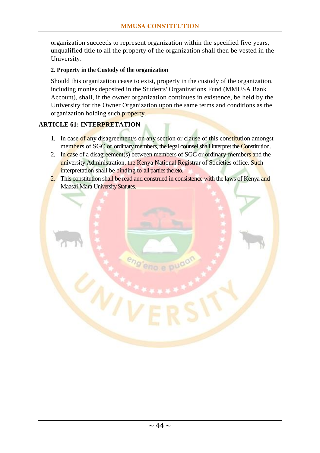organization succeeds to represent organization within the specified five years, unqualified title to all the property of the organization shall then be vested in the University.

#### **2. Property in the Custody of the organization**

Should this organization cease to exist, property in the custody of the organization, including monies deposited in the Students' Organizations Fund (MMUSA Bank Account), shall, if the owner organization continues in existence, be held by the University for the Owner Organization upon the same terms and conditions as the organization holding such property.

#### <span id="page-44-0"></span>**ARTICLE 61: INTERPRETATION**

- 1. In case of any disagreement/s on any section or clause of this constitution amongst members of SGC or ordinary members, the legal counsel shall interpret the Constitution.
- 2. In case of a disagreement(s) between members of SGC or ordinary-members and the university Administration, the Kenya National Registrar of Societies office. Such interpretation shall be binding to all parties thereto.
- 2. This constitution shall be read and construed in consistence with the laws of Kenya and Maasai Mara University Statutes.

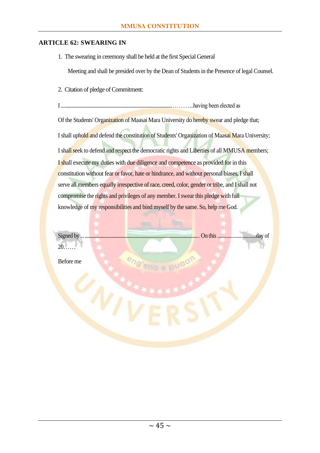#### <span id="page-45-0"></span>**ARTICLE 62: SWEARING IN**

1. The swearing in ceremony shall be held at the first Special General

Meeting and shall be presided over by the Dean of Students in the Presence of legal Counsel.

2. Citation of pledge of Commitment:

I .......................................................................................................………...having been elected as Of the Students' Organization of Maasai Mara University do hereby swear and pledge that; I shall uphold and defend the constitution of Students' Organization of Maasai Mara University; I shall seek to defend and respect the democratic rights and Liberties of all MMUSA members; I shall execute my duties with due diligence and competence as provided for in this constitution without fear or favor, hate or hindrance, and without personal biases, I shall serve all members equally irrespective of race, creed, color, gender or tribe, and I shall not compromise the rights and privileges of any member. I swear this pledge with full knowledge of my responsibilities and bind myself by the same. So, help me God.

20……

Signed by ... .......................................................................................................... On this ................................day of

Before me